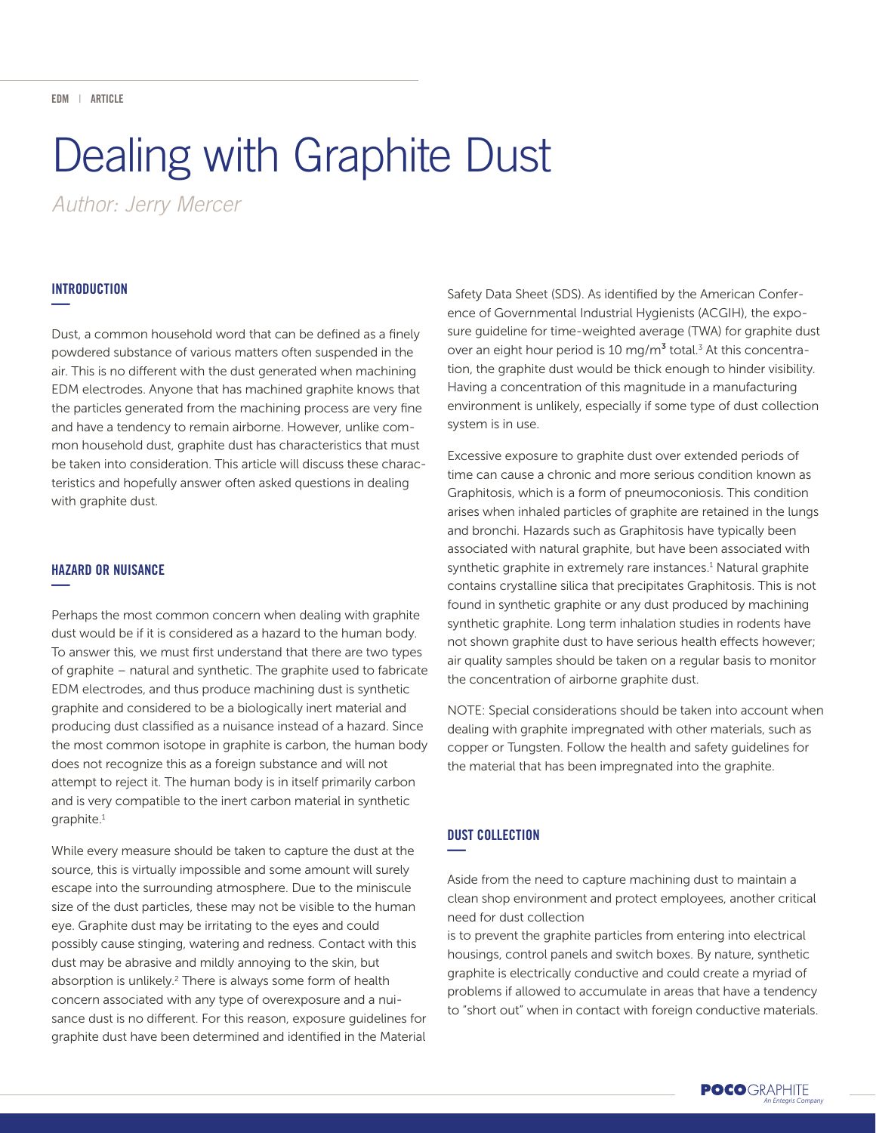# Dealing with Graphite Dust

*Author: Jerry Mercer*

#### INTRODUCTION **—**

Dust, a common household word that can be defined as a finely powdered substance of various matters often suspended in the air. This is no different with the dust generated when machining EDM electrodes. Anyone that has machined graphite knows that the particles generated from the machining process are very fine and have a tendency to remain airborne. However, unlike common household dust, graphite dust has characteristics that must be taken into consideration. This article will discuss these characteristics and hopefully answer often asked questions in dealing with graphite dust.

## HAZARD OR NUISANCE **—**

Perhaps the most common concern when dealing with graphite dust would be if it is considered as a hazard to the human body. To answer this, we must first understand that there are two types of graphite – natural and synthetic. The graphite used to fabricate EDM electrodes, and thus produce machining dust is synthetic graphite and considered to be a biologically inert material and producing dust classified as a nuisance instead of a hazard. Since the most common isotope in graphite is carbon, the human body does not recognize this as a foreign substance and will not attempt to reject it. The human body is in itself primarily carbon and is very compatible to the inert carbon material in synthetic graphite.1

While every measure should be taken to capture the dust at the source, this is virtually impossible and some amount will surely escape into the surrounding atmosphere. Due to the miniscule size of the dust particles, these may not be visible to the human eye. Graphite dust may be irritating to the eyes and could possibly cause stinging, watering and redness. Contact with this dust may be abrasive and mildly annoying to the skin, but absorption is unlikely.<sup>2</sup> There is always some form of health concern associated with any type of overexposure and a nuisance dust is no different. For this reason, exposure guidelines for graphite dust have been determined and identified in the Material

Safety Data Sheet (SDS). As identified by the American Conference of Governmental Industrial Hygienists (ACGIH), the exposure guideline for time-weighted average (TWA) for graphite dust over an eight hour period is 10 mg/m<sup>3</sup> total.<sup>3</sup> At this concentration, the graphite dust would be thick enough to hinder visibility. Having a concentration of this magnitude in a manufacturing environment is unlikely, especially if some type of dust collection system is in use.

Excessive exposure to graphite dust over extended periods of time can cause a chronic and more serious condition known as Graphitosis, which is a form of pneumoconiosis. This condition arises when inhaled particles of graphite are retained in the lungs and bronchi. Hazards such as Graphitosis have typically been associated with natural graphite, but have been associated with synthetic graphite in extremely rare instances.<sup>1</sup> Natural graphite contains crystalline silica that precipitates Graphitosis. This is not found in synthetic graphite or any dust produced by machining synthetic graphite. Long term inhalation studies in rodents have not shown graphite dust to have serious health effects however; air quality samples should be taken on a regular basis to monitor the concentration of airborne graphite dust.

NOTE: Special considerations should be taken into account when dealing with graphite impregnated with other materials, such as copper or Tungsten. Follow the health and safety guidelines for the material that has been impregnated into the graphite.

## DUST COLLECTION **—**

Aside from the need to capture machining dust to maintain a clean shop environment and protect employees, another critical need for dust collection

is to prevent the graphite particles from entering into electrical housings, control panels and switch boxes. By nature, synthetic graphite is electrically conductive and could create a myriad of problems if allowed to accumulate in areas that have a tendency to "short out" when in contact with foreign conductive materials.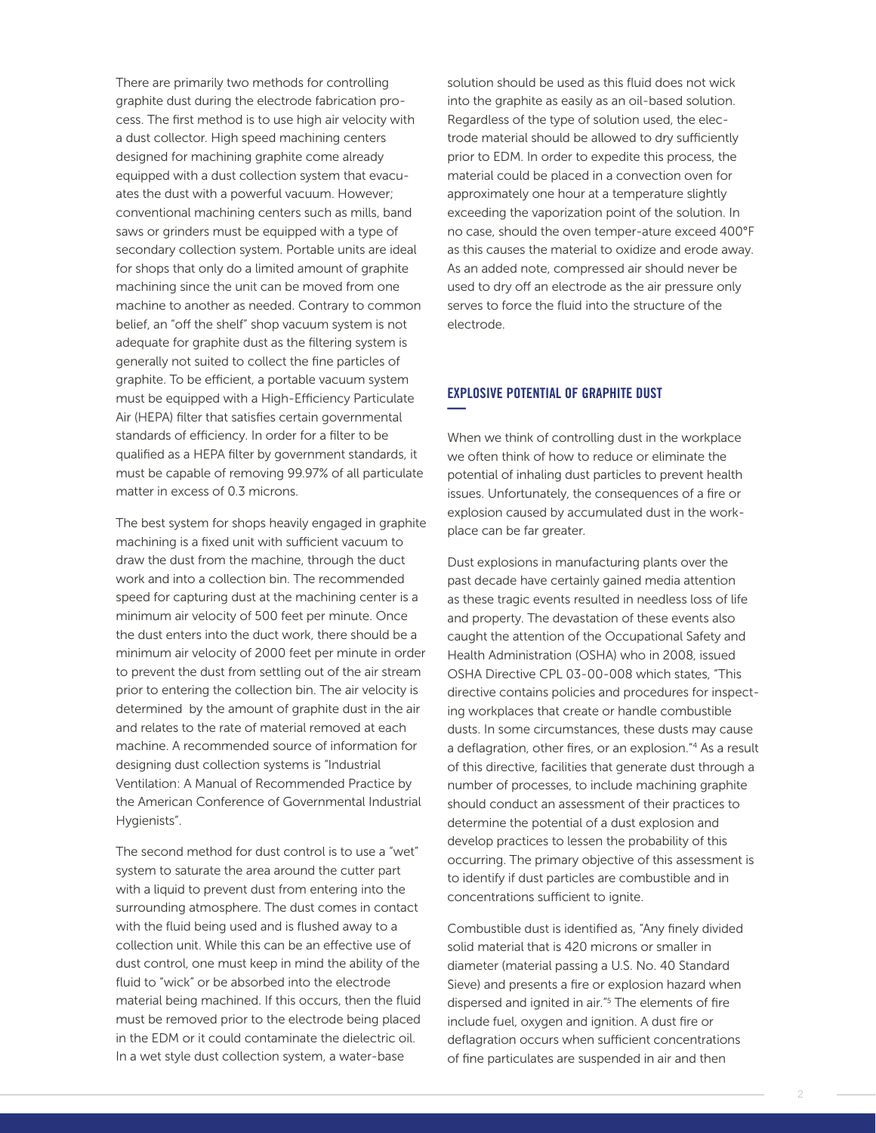There are primarily two methods for controlling graphite dust during the electrode fabrication process. The first method is to use high air velocity with a dust collector. High speed machining centers designed for machining graphite come already equipped with a dust collection system that evacuates the dust with a powerful vacuum. However; conventional machining centers such as mills, band saws or grinders must be equipped with a type of secondary collection system. Portable units are ideal for shops that only do a limited amount of graphite machining since the unit can be moved from one machine to another as needed. Contrary to common belief, an "off the shelf" shop vacuum system is not adequate for graphite dust as the filtering system is generally not suited to collect the fine particles of graphite. To be efficient, a portable vacuum system must be equipped with a High-Efficiency Particulate Air (HEPA) filter that satisfies certain governmental standards of efficiency. In order for a filter to be qualified as a HEPA filter by government standards, it must be capable of removing 99.97% of all particulate matter in excess of 0.3 microns.

The best system for shops heavily engaged in graphite machining is a fixed unit with sufficient vacuum to draw the dust from the machine, through the duct work and into a collection bin. The recommended speed for capturing dust at the machining center is a minimum air velocity of 500 feet per minute. Once the dust enters into the duct work, there should be a minimum air velocity of 2000 feet per minute in order to prevent the dust from settling out of the air stream prior to entering the collection bin. The air velocity is determined by the amount of graphite dust in the air and relates to the rate of material removed at each machine. A recommended source of information for designing dust collection systems is "Industrial Ventilation: A Manual of Recommended Practice by the American Conference of Governmental Industrial Hygienists".

The second method for dust control is to use a "wet" system to saturate the area around the cutter part with a liquid to prevent dust from entering into the surrounding atmosphere. The dust comes in contact with the fluid being used and is flushed away to a collection unit. While this can be an effective use of dust control, one must keep in mind the ability of the fluid to "wick" or be absorbed into the electrode material being machined. If this occurs, then the fluid must be removed prior to the electrode being placed in the EDM or it could contaminate the dielectric oil. In a wet style dust collection system, a water-base

solution should be used as this fluid does not wick into the graphite as easily as an oil-based solution. Regardless of the type of solution used, the electrode material should be allowed to dry sufficiently prior to EDM. In order to expedite this process, the material could be placed in a convection oven for approximately one hour at a temperature slightly exceeding the vaporization point of the solution. In no case, should the oven temper-ature exceed 400°F as this causes the material to oxidize and erode away. As an added note, compressed air should never be used to dry off an electrode as the air pressure only serves to force the fluid into the structure of the electrode.

## EXPLOSIVE POTENTIAL OF GRAPHITE DUST **—**

When we think of controlling dust in the workplace we often think of how to reduce or eliminate the potential of inhaling dust particles to prevent health issues. Unfortunately, the consequences of a fire or explosion caused by accumulated dust in the workplace can be far greater.

Dust explosions in manufacturing plants over the past decade have certainly gained media attention as these tragic events resulted in needless loss of life and property. The devastation of these events also caught the attention of the Occupational Safety and Health Administration (OSHA) who in 2008, issued OSHA Directive CPL 03-00-008 which states, "This directive contains policies and procedures for inspecting workplaces that create or handle combustible dusts. In some circumstances, these dusts may cause a deflagration, other fires, or an explosion."4 As a result of this directive, facilities that generate dust through a number of processes, to include machining graphite should conduct an assessment of their practices to determine the potential of a dust explosion and develop practices to lessen the probability of this occurring. The primary objective of this assessment is to identify if dust particles are combustible and in concentrations sufficient to ignite.

Combustible dust is identified as, "Any finely divided solid material that is 420 microns or smaller in diameter (material passing a U.S. No. 40 Standard Sieve) and presents a fire or explosion hazard when dispersed and ignited in air."5 The elements of fire include fuel, oxygen and ignition. A dust fire or deflagration occurs when sufficient concentrations of fine particulates are suspended in air and then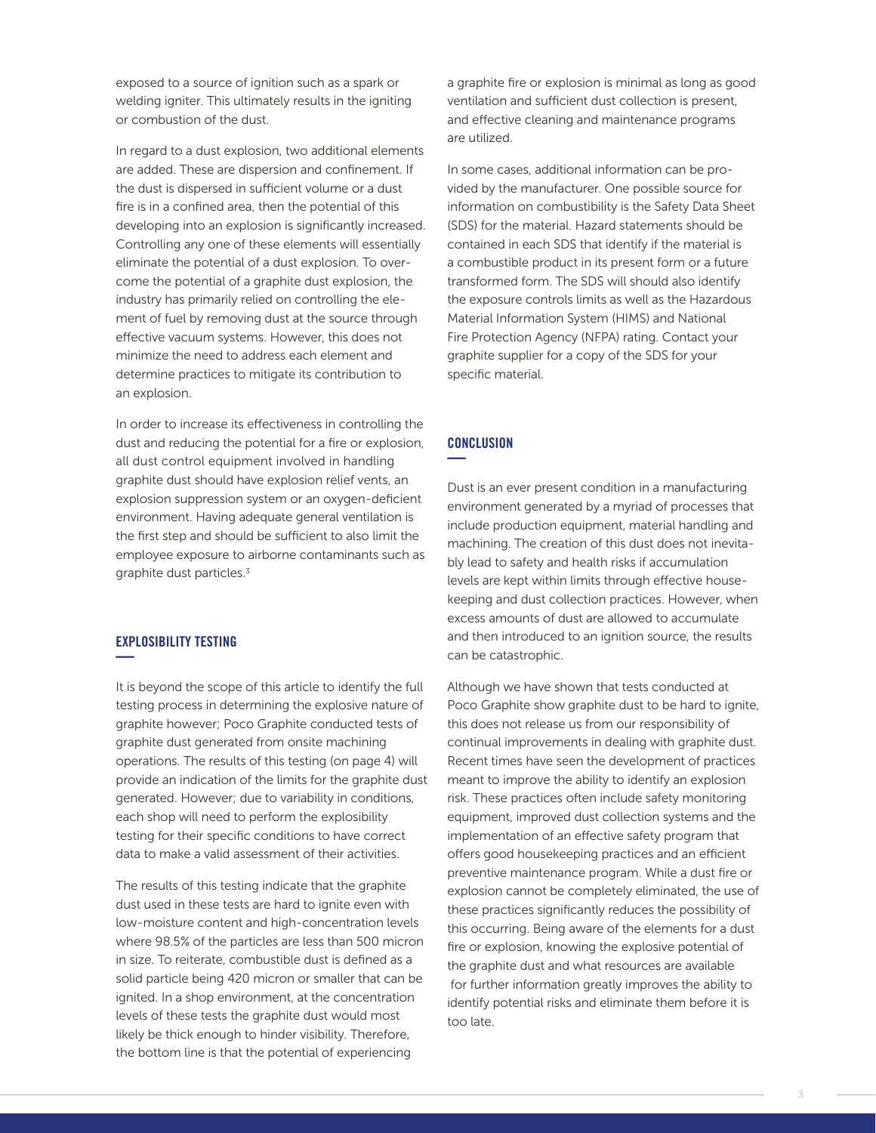exposed to a source of ignition such as a spark or welding igniter. This ultimately results in the igniting or combustion of the dust.

In regard to a dust explosion, two additional elements are added. These are dispersion and confinement. If the dust is dispersed in sufficient volume or a dust fire is in a confined area, then the potential of this developing into an explosion is significantly increased. Controlling any one of these elements will essentially eliminate the potential of a dust explosion. To overcome the potential of a graphite dust explosion, the industry has primarily relied on controlling the element of fuel by removing dust at the source through effective vacuum systems. However, this does not minimize the need to address each element and determine practices to mitigate its contribution to an explosion.

In order to increase its effectiveness in controlling the dust and reducing the potential for a fire or explosion, all dust control equipment involved in handling graphite dust should have explosion relief vents, an explosion suppression system or an oxygen-deficient environment. Having adequate general ventilation is the first step and should be sufficient to also limit the employee exposure to airborne contaminants such as graphite dust particles.<sup>3</sup>

## EXPLOSIBILITY TESTING **—**

It is beyond the scope of this article to identify the full testing process in determining the explosive nature of graphite however; Poco Graphite conducted tests of graphite dust generated from onsite machining operations. The results of this testing (on page 4) will provide an indication of the limits for the graphite dust generated. However; due to variability in conditions, each shop will need to perform the explosibility testing for their specific conditions to have correct data to make a valid assessment of their activities.

The results of this testing indicate that the graphite dust used in these tests are hard to ignite even with low-moisture content and high-concentration levels where 98.5% of the particles are less than 500 micron in size. To reiterate, combustible dust is defined as a solid particle being 420 micron or smaller that can be ignited. In a shop environment, at the concentration levels of these tests the graphite dust would most likely be thick enough to hinder visibility. Therefore, the bottom line is that the potential of experiencing

a graphite fire or explosion is minimal as long as good ventilation and sufficient dust collection is present, and effective cleaning and maintenance programs are utilized.

In some cases, additional information can be provided by the manufacturer. One possible source for information on combustibility is the Safety Data Sheet (SDS) for the material. Hazard statements should be contained in each SDS that identify if the material is a combustible product in its present form or a future transformed form. The SDS will should also identify the exposure controls limits as well as the Hazardous Material Information System (HIMS) and National Fire Protection Agency (NFPA) rating. Contact your graphite supplier for a copy of the SDS for your specific material.

#### **CONCLUSION —**

Dust is an ever present condition in a manufacturing environment generated by a myriad of processes that include production equipment, material handling and machining. The creation of this dust does not inevitably lead to safety and health risks if accumulation levels are kept within limits through effective housekeeping and dust collection practices. However, when excess amounts of dust are allowed to accumulate and then introduced to an ignition source, the results can be catastrophic.

Although we have shown that tests conducted at Poco Graphite show graphite dust to be hard to ignite, this does not release us from our responsibility of continual improvements in dealing with graphite dust. Recent times have seen the development of practices meant to improve the ability to identify an explosion risk. These practices often include safety monitoring equipment, improved dust collection systems and the implementation of an effective safety program that offers good housekeeping practices and an efficient preventive maintenance program. While a dust fire or explosion cannot be completely eliminated, the use of these practices significantly reduces the possibility of this occurring. Being aware of the elements for a dust fire or explosion, knowing the explosive potential of the graphite dust and what resources are available for further information greatly improves the ability to identify potential risks and eliminate them before it is too late.